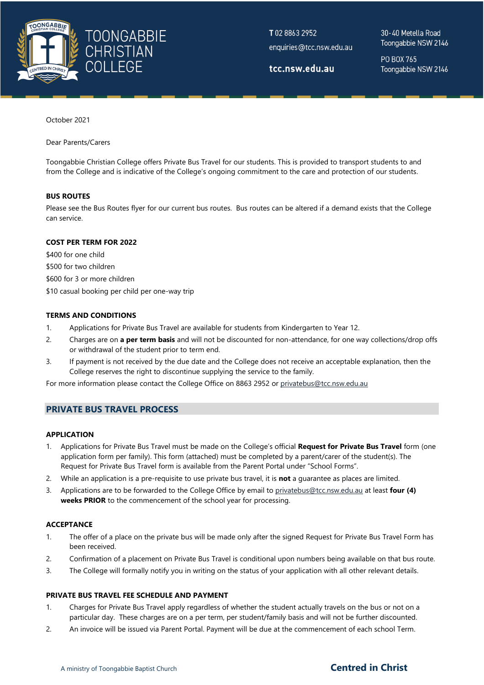

T0288632952 enquiries@tcc.nsw.edu.au

tcc.nsw.edu.au

30-40 Metella Road Toongabbie NSW 2146

PO BOX 765 Toongabbie NSW 2146

October 2021

Dear Parents/Carers

Toongabbie Christian College offers Private Bus Travel for our students. This is provided to transport students to and from the College and is indicative of the College's ongoing commitment to the care and protection of our students.

## **BUS ROUTES**

Please see the Bus Routes flyer for our current bus routes. Bus routes can be altered if a demand exists that the College can service.

## **COST PER TERM FOR 2022**

\$400 for one child \$500 for two children \$600 for 3 or more children \$10 casual booking per child per one-way trip

## **TERMS AND CONDITIONS**

- 1. Applications for Private Bus Travel are available for students from Kindergarten to Year 12.
- 2. Charges are on **a per term basis** and will not be discounted for non-attendance, for one way collections/drop offs or withdrawal of the student prior to term end.
- 3. If payment is not received by the due date and the College does not receive an acceptable explanation, then the College reserves the right to discontinue supplying the service to the family.

For more information please contact the College Office on 8863 2952 or [privatebus@tcc.nsw.edu.au](mailto:privatebus@tcc.nsw.edu.au)

## **PRIVATE BUS TRAVEL PROCESS**

### **APPLICATION**

- 1. Applications for Private Bus Travel must be made on the College's official **Request for Private Bus Travel** form (one application form per family). This form (attached) must be completed by a parent/carer of the student(s). The Request for Private Bus Travel form is available from the Parent Portal under "School Forms".
- 2. While an application is a pre-requisite to use private bus travel, it is **not** a guarantee as places are limited.
- 3. Applications are to be forwarded to the College Office by email to [privatebus@tcc.nsw.edu.au](mailto:privatebus@tcc.nsw.edu.au) at least **four (4) weeks PRIOR** to the commencement of the school year for processing.

### **ACCEPTANCE**

- 1. The offer of a place on the private bus will be made only after the signed Request for Private Bus Travel Form has been received.
- 2. Confirmation of a placement on Private Bus Travel is conditional upon numbers being available on that bus route.
- 3. The College will formally notify you in writing on the status of your application with all other relevant details.

## **PRIVATE BUS TRAVEL FEE SCHEDULE AND PAYMENT**

- 1. Charges for Private Bus Travel apply regardless of whether the student actually travels on the bus or not on a particular day. These charges are on a per term, per student/family basis and will not be further discounted.
- 2. An invoice will be issued via Parent Portal. Payment will be due at the commencement of each school Term.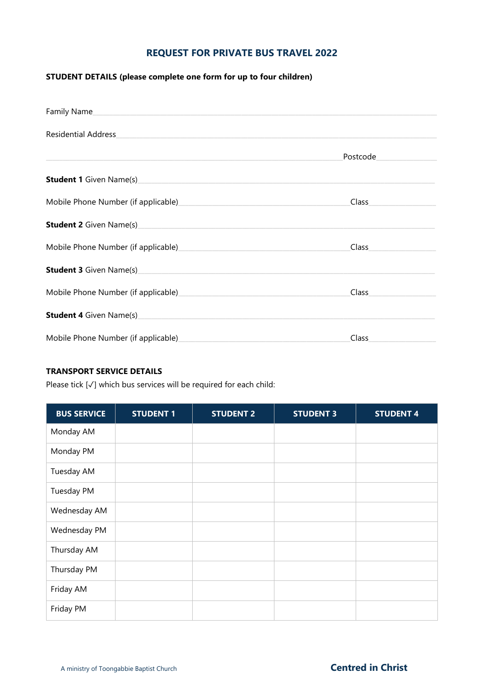# **REQUEST FOR PRIVATE BUS TRAVEL 2022**

# **STUDENT DETAILS (please complete one form for up to four children)**

| Family Name                                                                                                                                                                                                                         |                                                                                                                                                                                                                                |
|-------------------------------------------------------------------------------------------------------------------------------------------------------------------------------------------------------------------------------------|--------------------------------------------------------------------------------------------------------------------------------------------------------------------------------------------------------------------------------|
| <b>Residential Address</b>                                                                                                                                                                                                          |                                                                                                                                                                                                                                |
|                                                                                                                                                                                                                                     | Postcode                                                                                                                                                                                                                       |
|                                                                                                                                                                                                                                     |                                                                                                                                                                                                                                |
|                                                                                                                                                                                                                                     | Class <b>Class</b>                                                                                                                                                                                                             |
| <b>Student 2</b> Given Name(s) <b>Example 2</b> Given Name(s)                                                                                                                                                                       |                                                                                                                                                                                                                                |
| Mobile Phone Number (if applicable) Mobile Phone Number (if applicable)                                                                                                                                                             | Class                                                                                                                                                                                                                          |
| <b>Student 3</b> Given Name(s) Manual Control of Control Control of Control Control Control Control Control Control Control Control Control Control Control Control Control Control Control Control Control Control Control Control |                                                                                                                                                                                                                                |
|                                                                                                                                                                                                                                     | Class and the control of the control of the control of the control of the control of the control of the control of the control of the control of the control of the control of the control of the control of the control of th |
|                                                                                                                                                                                                                                     |                                                                                                                                                                                                                                |
| Mobile Phone Number (if applicable)                                                                                                                                                                                                 | Class                                                                                                                                                                                                                          |

# **TRANSPORT SERVICE DETAILS**

Please tick [√] which bus services will be required for each child:

| <b>BUS SERVICE</b> | <b>STUDENT 1</b> | <b>STUDENT 2</b> | <b>STUDENT 3</b> | <b>STUDENT 4</b> |
|--------------------|------------------|------------------|------------------|------------------|
| Monday AM          |                  |                  |                  |                  |
| Monday PM          |                  |                  |                  |                  |
| Tuesday AM         |                  |                  |                  |                  |
| Tuesday PM         |                  |                  |                  |                  |
| Wednesday AM       |                  |                  |                  |                  |
| Wednesday PM       |                  |                  |                  |                  |
| Thursday AM        |                  |                  |                  |                  |
| Thursday PM        |                  |                  |                  |                  |
| Friday AM          |                  |                  |                  |                  |
| Friday PM          |                  |                  |                  |                  |